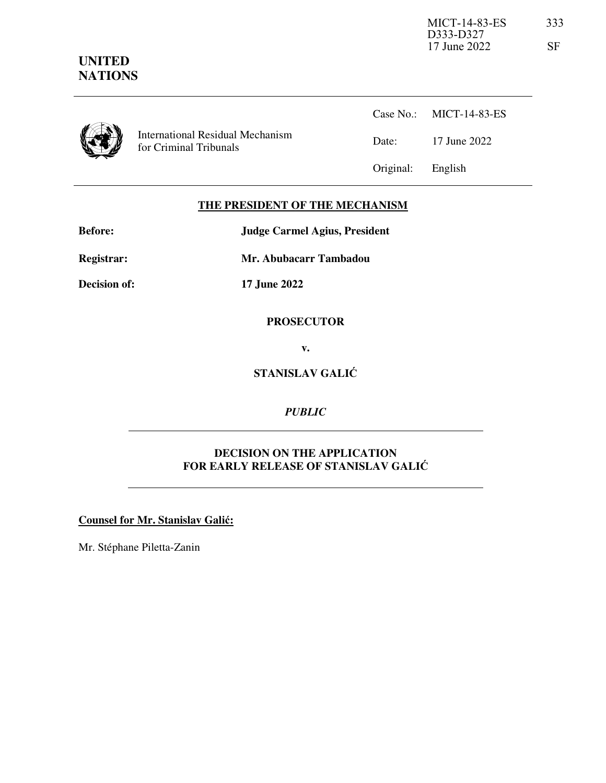## **UNITED NATIONS**

| Interna |
|---------|
|         |

ational Residual Mechanism for Criminal Tribunals

Case No.: MICT-14-83-ES Date: 17 June 2022 Original: English

#### **THE PRESIDENT OF THE MECHANISM**

| Before:             | <b>Judge Carmel Agius, President</b> |  |  |
|---------------------|--------------------------------------|--|--|
| <b>Registrar:</b>   | Mr. Abubacarr Tambadou               |  |  |
| <b>Decision of:</b> | 17 June 2022                         |  |  |

#### **PROSECUTOR**

**v.** 

**STANISLAV GALIĆ**

*PUBLIC*

#### **DECISION ON THE APPLICATION FOR EARLY RELEASE OF STANISLAV GALIĆ**

**Counsel for Mr. Stanislav Galić:**

Mr. Stéphane Piletta-Zanin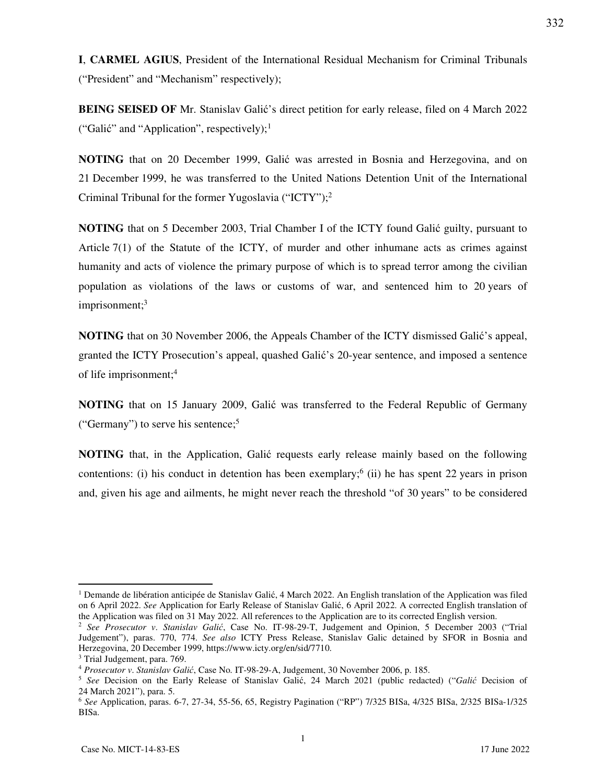**I**, **CARMEL AGIUS**, President of the International Residual Mechanism for Criminal Tribunals ("President" and "Mechanism" respectively);

**BEING SEISED OF** Mr. Stanislav Galić's direct petition for early release, filed on 4 March 2022 ("Galić" and "Application", respectively);<sup>1</sup>

**NOTING** that on 20 December 1999, Galić was arrested in Bosnia and Herzegovina, and on 21 December 1999, he was transferred to the United Nations Detention Unit of the International Criminal Tribunal for the former Yugoslavia ("ICTY");<sup>2</sup>

**NOTING** that on 5 December 2003, Trial Chamber I of the ICTY found Galić guilty, pursuant to Article 7(1) of the Statute of the ICTY, of murder and other inhumane acts as crimes against humanity and acts of violence the primary purpose of which is to spread terror among the civilian population as violations of the laws or customs of war, and sentenced him to 20 years of imprisonment;<sup>3</sup>

**NOTING** that on 30 November 2006, the Appeals Chamber of the ICTY dismissed Galić's appeal, granted the ICTY Prosecution's appeal, quashed Galić's 20-year sentence, and imposed a sentence of life imprisonment;<sup>4</sup>

**NOTING** that on 15 January 2009, Galić was transferred to the Federal Republic of Germany ("Germany") to serve his sentence;<sup>5</sup>

**NOTING** that, in the Application, Galić requests early release mainly based on the following contentions: (i) his conduct in detention has been exemplary;  $6$  (ii) he has spent 22 years in prison and, given his age and ailments, he might never reach the threshold "of 30 years" to be considered

-

332

<sup>&</sup>lt;sup>1</sup> Demande de libération anticipée de Stanislav Galić, 4 March 2022. An English translation of the Application was filed on 6 April 2022. *See* Application for Early Release of Stanislav Galić, 6 April 2022. A corrected English translation of the Application was filed on 31 May 2022. All references to the Application are to its corrected English version.

<sup>2</sup> *See Prosecutor v*. *Stanislav Galić*, Case No. IT-98-29-T, Judgement and Opinion, 5 December 2003 ("Trial Judgement"), paras. 770, 774. *See also* ICTY Press Release, Stanislav Galic detained by SFOR in Bosnia and Herzegovina, 20 December 1999, https://www.icty.org/en/sid/7710.

<sup>&</sup>lt;sup>3</sup> Trial Judgement, para. 769.

<sup>4</sup> *Prosecutor v*. *Stanislav Galić*, Case No. IT-98-29-A, Judgement, 30 November 2006, p. 185.

<sup>5</sup> *See* Decision on the Early Release of Stanislav Galić, 24 March 2021 (public redacted) ("*Galić* Decision of 24 March 2021"), para. 5.

<sup>6</sup> *See* Application, paras. 6-7, 27-34, 55-56, 65, Registry Pagination ("RP") 7/325 BISa, 4/325 BISa, 2/325 BISa-1/325 BISa.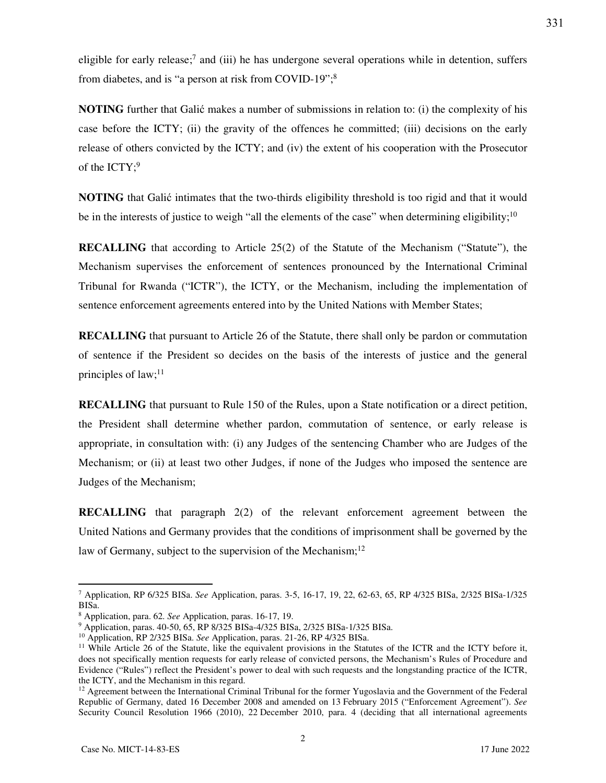eligible for early release;<sup>7</sup> and (iii) he has undergone several operations while in detention, suffers from diabetes, and is "a person at risk from COVID-19";<sup>8</sup>

**NOTING** further that Galić makes a number of submissions in relation to: (i) the complexity of his case before the ICTY; (ii) the gravity of the offences he committed; (iii) decisions on the early release of others convicted by the ICTY; and (iv) the extent of his cooperation with the Prosecutor of the  $\text{ICTY};^9$ 

**NOTING** that Galić intimates that the two-thirds eligibility threshold is too rigid and that it would be in the interests of justice to weigh "all the elements of the case" when determining eligibility;<sup>10</sup>

**RECALLING** that according to Article 25(2) of the Statute of the Mechanism ("Statute"), the Mechanism supervises the enforcement of sentences pronounced by the International Criminal Tribunal for Rwanda ("ICTR"), the ICTY, or the Mechanism, including the implementation of sentence enforcement agreements entered into by the United Nations with Member States;

**RECALLING** that pursuant to Article 26 of the Statute, there shall only be pardon or commutation of sentence if the President so decides on the basis of the interests of justice and the general principles of law; $^{11}$ 

**RECALLING** that pursuant to Rule 150 of the Rules, upon a State notification or a direct petition, the President shall determine whether pardon, commutation of sentence, or early release is appropriate, in consultation with: (i) any Judges of the sentencing Chamber who are Judges of the Mechanism; or (ii) at least two other Judges, if none of the Judges who imposed the sentence are Judges of the Mechanism;

**RECALLING** that paragraph 2(2) of the relevant enforcement agreement between the United Nations and Germany provides that the conditions of imprisonment shall be governed by the law of Germany, subject to the supervision of the Mechanism;<sup>12</sup>

-

<sup>7</sup> Application, RP 6/325 BISa. *See* Application, paras. 3-5, 16-17, 19, 22, 62-63, 65, RP 4/325 BISa, 2/325 BISa-1/325 BISa.

<sup>8</sup> Application, para. 62. *See* Application, paras. 16-17, 19.

<sup>9</sup> Application, paras. 40-50, 65, RP 8/325 BISa-4/325 BISa, 2/325 BISa-1/325 BISa.

<sup>10</sup> Application, RP 2/325 BISa. *See* Application, paras. 21-26, RP 4/325 BISa.

<sup>&</sup>lt;sup>11</sup> While Article 26 of the Statute, like the equivalent provisions in the Statutes of the ICTR and the ICTY before it, does not specifically mention requests for early release of convicted persons, the Mechanism's Rules of Procedure and Evidence ("Rules") reflect the President's power to deal with such requests and the longstanding practice of the ICTR, the ICTY, and the Mechanism in this regard.

 $12$  Agreement between the International Criminal Tribunal for the former Yugoslavia and the Government of the Federal Republic of Germany, dated 16 December 2008 and amended on 13 February 2015 ("Enforcement Agreement"). *See* Security Council Resolution 1966 (2010), 22 December 2010, para. 4 (deciding that all international agreements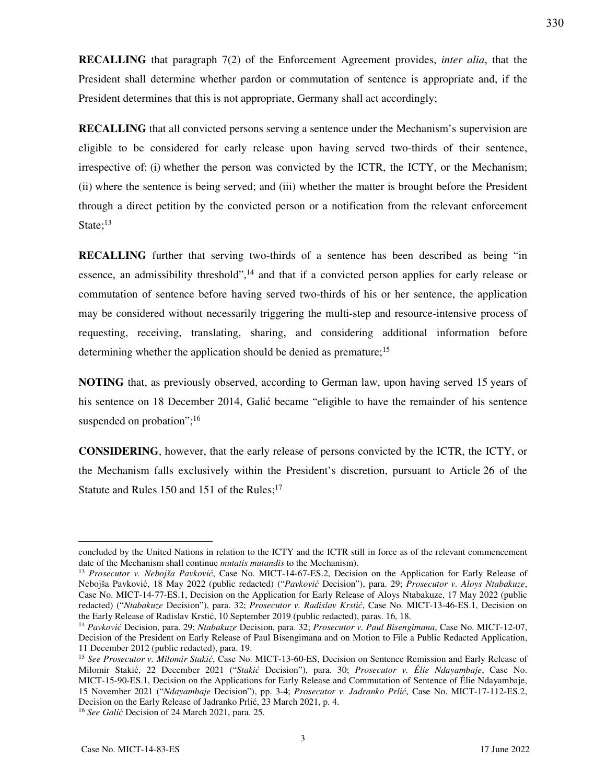**RECALLING** that paragraph 7(2) of the Enforcement Agreement provides, *inter alia*, that the President shall determine whether pardon or commutation of sentence is appropriate and, if the President determines that this is not appropriate, Germany shall act accordingly;

**RECALLING** that all convicted persons serving a sentence under the Mechanism's supervision are eligible to be considered for early release upon having served two-thirds of their sentence, irrespective of: (i) whether the person was convicted by the ICTR, the ICTY, or the Mechanism; (ii) where the sentence is being served; and (iii) whether the matter is brought before the President through a direct petition by the convicted person or a notification from the relevant enforcement State; $^{13}$ 

**RECALLING** further that serving two-thirds of a sentence has been described as being "in essence, an admissibility threshold",<sup>14</sup> and that if a convicted person applies for early release or commutation of sentence before having served two-thirds of his or her sentence, the application may be considered without necessarily triggering the multi-step and resource-intensive process of requesting, receiving, translating, sharing, and considering additional information before determining whether the application should be denied as premature;<sup>15</sup>

**NOTING** that, as previously observed, according to German law, upon having served 15 years of his sentence on 18 December 2014, Galić became "eligible to have the remainder of his sentence suspended on probation";<sup>16</sup>

**CONSIDERING**, however, that the early release of persons convicted by the ICTR, the ICTY, or the Mechanism falls exclusively within the President's discretion, pursuant to Article 26 of the Statute and Rules 150 and 151 of the Rules; $17$ 

-

concluded by the United Nations in relation to the ICTY and the ICTR still in force as of the relevant commencement date of the Mechanism shall continue *mutatis mutandis* to the Mechanism).

<sup>13</sup> *Prosecutor v. Nebojša Pavković*, Case No. MICT-14-67-ES.2, Decision on the Application for Early Release of Nebojša Pavković, 18 May 2022 (public redacted) ("*Pavković* Decision"), para. 29; *Prosecutor v. Aloys Ntabakuze*, Case No. MICT-14-77-ES.1, Decision on the Application for Early Release of Aloys Ntabakuze, 17 May 2022 (public redacted) ("*Ntabakuze* Decision"), para. 32; *Prosecutor v. Radislav Krstić*, Case No. MICT-13-46-ES.1, Decision on the Early Release of Radislav Krstić, 10 September 2019 (public redacted), paras. 16, 18.

<sup>14</sup> *Pavković* Decision, para. 29; *Ntabakuze* Decision, para. 32; *Prosecutor v. Paul Bisengimana*, Case No. MICT-12-07, Decision of the President on Early Release of Paul Bisengimana and on Motion to File a Public Redacted Application, 11 December 2012 (public redacted), para. 19.

<sup>15</sup> *See Prosecutor v. Milomir Stakić*, Case No. MICT-13-60-ES, Decision on Sentence Remission and Early Release of Milomir Stakić, 22 December 2021 ("*Stakić* Decision"), para. 30; *Prosecutor v. Élie Ndayambaje*, Case No. MICT-15-90-ES.1, Decision on the Applications for Early Release and Commutation of Sentence of Élie Ndayambaje, 15 November 2021 ("*Ndayambaje* Decision"), pp. 3-4; *Prosecutor v. Jadranko Prlić*, Case No. MICT-17-112-ES.2, Decision on the Early Release of Jadranko Prlić, 23 March 2021, p. 4.

<sup>16</sup> *See Galić* Decision of 24 March 2021, para. 25.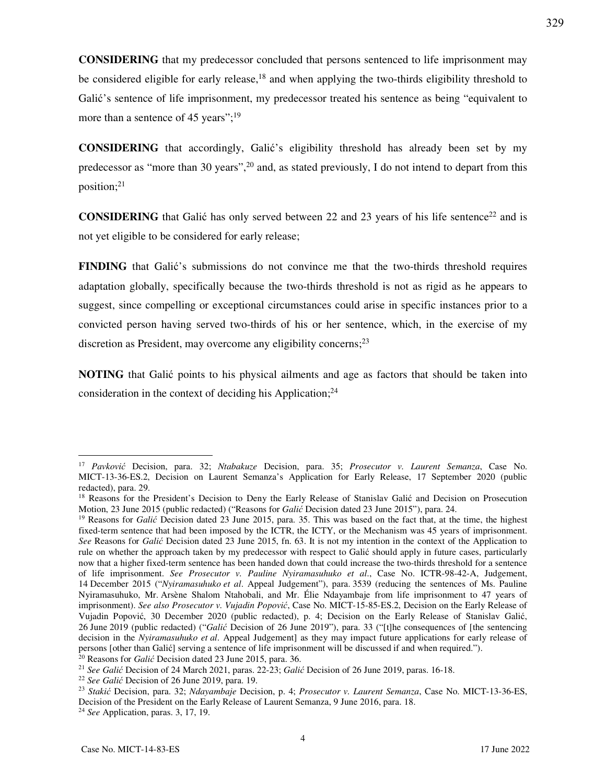**CONSIDERING** that my predecessor concluded that persons sentenced to life imprisonment may be considered eligible for early release, $18$  and when applying the two-thirds eligibility threshold to Galić's sentence of life imprisonment, my predecessor treated his sentence as being "equivalent to more than a sentence of 45 years";<sup>19</sup>

**CONSIDERING** that accordingly, Galić's eligibility threshold has already been set by my predecessor as "more than 30 years",<sup>20</sup> and, as stated previously, I do not intend to depart from this position;<sup>21</sup>

**CONSIDERING** that Galić has only served between 22 and 23 years of his life sentence<sup>22</sup> and is not yet eligible to be considered for early release;

**FINDING** that Galić's submissions do not convince me that the two-thirds threshold requires adaptation globally, specifically because the two-thirds threshold is not as rigid as he appears to suggest, since compelling or exceptional circumstances could arise in specific instances prior to a convicted person having served two-thirds of his or her sentence, which, in the exercise of my discretion as President, may overcome any eligibility concerns;<sup>23</sup>

**NOTING** that Galić points to his physical ailments and age as factors that should be taken into consideration in the context of deciding his Application; $^{24}$ 

4

-

329

<sup>17</sup> *Pavković* Decision, para. 32; *Ntabakuze* Decision, para. 35; *Prosecutor v. Laurent Semanza*, Case No. MICT-13-36-ES.2, Decision on Laurent Semanza's Application for Early Release, 17 September 2020 (public redacted), para. 29.

<sup>&</sup>lt;sup>18</sup> Reasons for the President's Decision to Deny the Early Release of Stanislay Galić and Decision on Prosecution Motion, 23 June 2015 (public redacted) ("Reasons for *Galić* Decision dated 23 June 2015"), para. 24.

<sup>&</sup>lt;sup>19</sup> Reasons for *Galić* Decision dated 23 June 2015, para. 35. This was based on the fact that, at the time, the highest fixed-term sentence that had been imposed by the ICTR, the ICTY, or the Mechanism was 45 years of imprisonment. *See* Reasons for *Galić* Decision dated 23 June 2015, fn. 63. It is not my intention in the context of the Application to rule on whether the approach taken by my predecessor with respect to Galić should apply in future cases, particularly now that a higher fixed-term sentence has been handed down that could increase the two-thirds threshold for a sentence of life imprisonment. *See Prosecutor v. Pauline Nyiramasuhuko et al*., Case No. ICTR-98-42-A, Judgement, 14 December 2015 ("*Nyiramasuhuko et al*. Appeal Judgement"), para. 3539 (reducing the sentences of Ms. Pauline Nyiramasuhuko, Mr. Arsène Shalom Ntahobali, and Mr. Élie Ndayambaje from life imprisonment to 47 years of imprisonment). *See also Prosecutor v. Vujadin Popović*, Case No. MICT-15-85-ES.2, Decision on the Early Release of Vujadin Popović, 30 December 2020 (public redacted), p. 4; Decision on the Early Release of Stanislav Galić, 26 June 2019 (public redacted) ("*Galić* Decision of 26 June 2019"), para. 33 ("[t]he consequences of [the sentencing decision in the *Nyiramasuhuko et al*. Appeal Judgement] as they may impact future applications for early release of persons [other than Galić] serving a sentence of life imprisonment will be discussed if and when required.").

<sup>20</sup> Reasons for *Galić* Decision dated 23 June 2015, para. 36.

<sup>21</sup> *See Galić* Decision of 24 March 2021, paras. 22-23; *Galić* Decision of 26 June 2019, paras. 16-18.

<sup>22</sup> *See Galić* Decision of 26 June 2019, para. 19.

<sup>23</sup> *Stakić* Decision, para. 32; *Ndayambaje* Decision, p. 4; *Prosecutor v. Laurent Semanza*, Case No. MICT-13-36-ES, Decision of the President on the Early Release of Laurent Semanza, 9 June 2016, para. 18.

<sup>24</sup> *See* Application, paras. 3, 17, 19.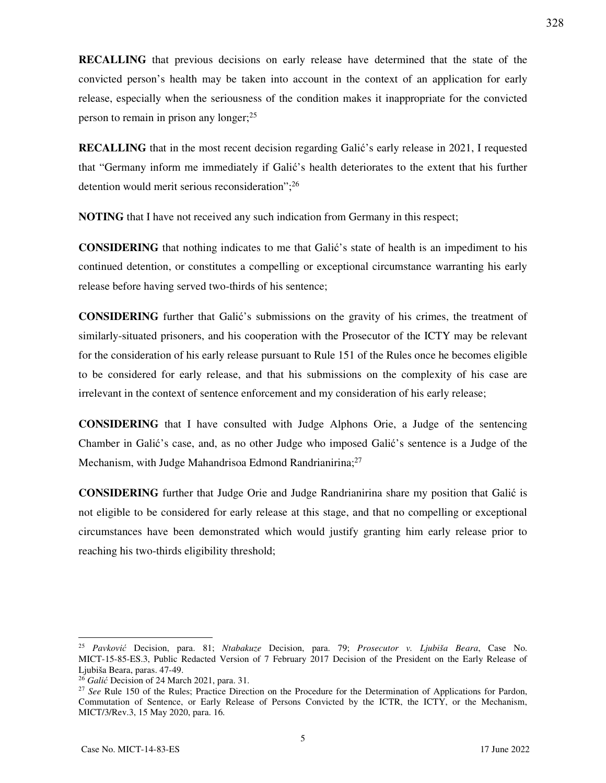**RECALLING** that previous decisions on early release have determined that the state of the convicted person's health may be taken into account in the context of an application for early release, especially when the seriousness of the condition makes it inappropriate for the convicted person to remain in prison any longer;<sup>25</sup>

**RECALLING** that in the most recent decision regarding Galić's early release in 2021, I requested that "Germany inform me immediately if Galić's health deteriorates to the extent that his further detention would merit serious reconsideration";<sup>26</sup>

**NOTING** that I have not received any such indication from Germany in this respect;

**CONSIDERING** that nothing indicates to me that Galić's state of health is an impediment to his continued detention, or constitutes a compelling or exceptional circumstance warranting his early release before having served two-thirds of his sentence;

**CONSIDERING** further that Galić's submissions on the gravity of his crimes, the treatment of similarly-situated prisoners, and his cooperation with the Prosecutor of the ICTY may be relevant for the consideration of his early release pursuant to Rule 151 of the Rules once he becomes eligible to be considered for early release, and that his submissions on the complexity of his case are irrelevant in the context of sentence enforcement and my consideration of his early release;

**CONSIDERING** that I have consulted with Judge Alphons Orie, a Judge of the sentencing Chamber in Galić's case, and, as no other Judge who imposed Galić's sentence is a Judge of the Mechanism, with Judge Mahandrisoa Edmond Randrianirina;<sup>27</sup>

**CONSIDERING** further that Judge Orie and Judge Randrianirina share my position that Galić is not eligible to be considered for early release at this stage, and that no compelling or exceptional circumstances have been demonstrated which would justify granting him early release prior to reaching his two-thirds eligibility threshold;

-

<sup>25</sup> *Pavković* Decision, para. 81; *Ntabakuze* Decision, para. 79; *Prosecutor v. Ljubiša Beara*, Case No. MICT-15-85-ES.3, Public Redacted Version of 7 February 2017 Decision of the President on the Early Release of Ljubiša Beara, paras. 47-49.

<sup>26</sup> *Galić* Decision of 24 March 2021, para. 31.

<sup>&</sup>lt;sup>27</sup> See Rule 150 of the Rules; Practice Direction on the Procedure for the Determination of Applications for Pardon, Commutation of Sentence, or Early Release of Persons Convicted by the ICTR, the ICTY, or the Mechanism, MICT/3/Rev.3, 15 May 2020, para. 16.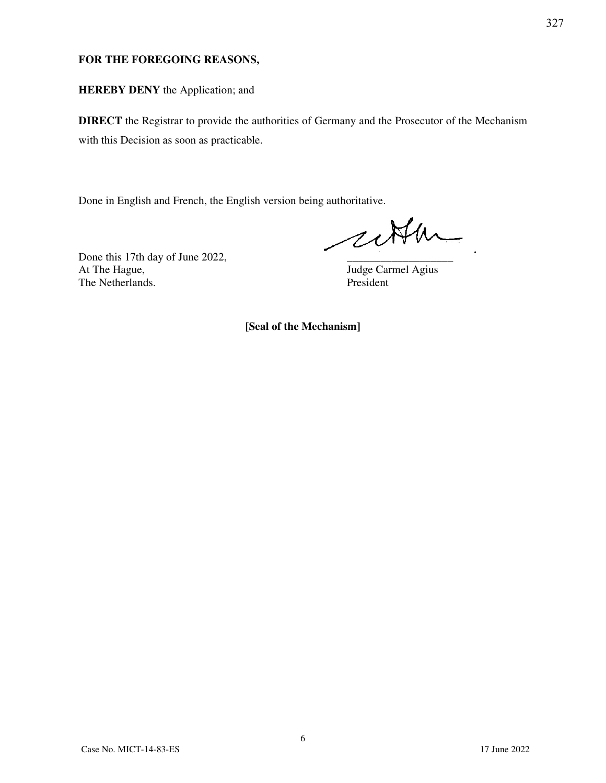### **FOR THE FOREGOING REASONS,**

### **HEREBY DENY** the Application; and

**DIRECT** the Registrar to provide the authorities of Germany and the Prosecutor of the Mechanism with this Decision as soon as practicable.

Done in English and French, the English version being authoritative.

cetter

Done this 17th day of June 2022, At The Hague, Judge Carmel Agius The Netherlands. President

**[Seal of the Mechanism]**